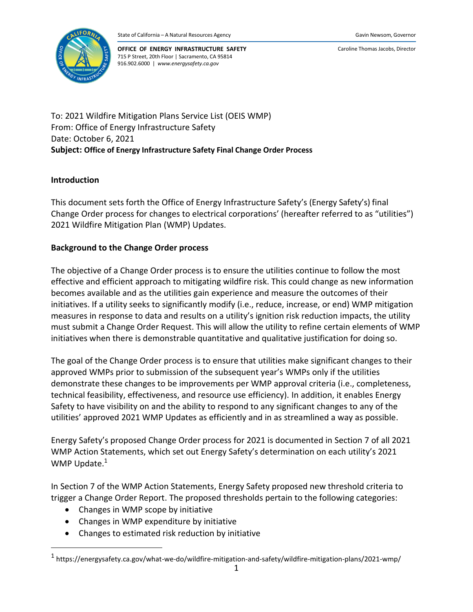

Caroline Thomas Jacobs, Director

To: 2021 Wildfire Mitigation Plans Service List (OEIS WMP) From: Office of Energy Infrastructure Safety Date: October 6, 2021 **Subject: Office of Energy Infrastructure Safety Final Change Order Process**

# **Introduction**

This document sets forth the Office of Energy Infrastructure Safety's (Energy Safety's) final Change Order process for changes to electrical corporations' (hereafter referred to as "utilities") 2021 Wildfire Mitigation Plan (WMP) Updates.

# **Background to the Change Order process**

The objective of a Change Order process is to ensure the utilities continue to follow the most effective and efficient approach to mitigating wildfire risk. This could change as new information becomes available and as the utilities gain experience and measure the outcomes of their initiatives. If a utility seeks to significantly modify (i.e., reduce, increase, or end) WMP mitigation measures in response to data and results on a utility's ignition risk reduction impacts, the utility must submit a Change Order Request. This will allow the utility to refine certain elements of WMP initiatives when there is demonstrable quantitative and qualitative justification for doing so.

The goal of the Change Order process is to ensure that utilities make significant changes to their approved WMPs prior to submission of the subsequent year's WMPs only if the utilities demonstrate these changes to be improvements per WMP approval criteria (i.e., completeness, technical feasibility, effectiveness, and resource use efficiency). In addition, it enables Energy Safety to have visibility on and the ability to respond to any significant changes to any of the utilities' approved 2021 WMP Updates as efficiently and in as streamlined a way as possible.

Energy Safety's propose[d](#page-5-0) Change Order process for 2021 is documented in Section 7 of all 2021 WMP Action Statements, which set out Energy Safety's determination on each utility's 2021 WMP Update.<sup>1</sup>

In Section 7 of the WMP Action Statements, Energy Safety proposed new threshold criteria to trigger a Change Order Report. The proposed thresholds pertain to the following categories:

- Changes in WMP scope by initiative
- Changes in WMP expenditure by initiative
- Changes to estimated risk reduction by initiative

<sup>&</sup>lt;sup>1</sup> https://energysafety.ca.gov/what-we-do/wildfire-mitigation-and-safety/wildfire-mitigation-plans/2021-wmp/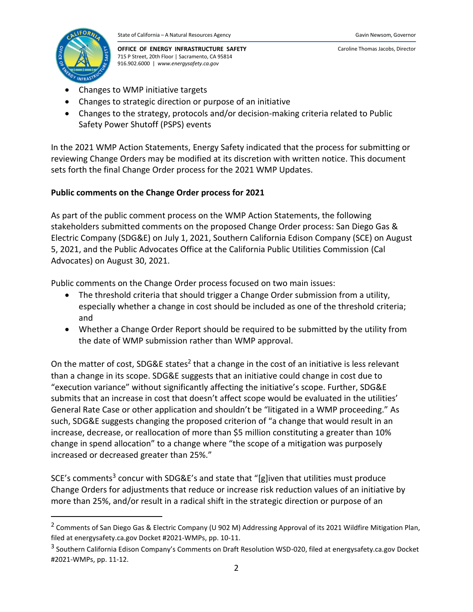

Caroline Thomas Jacobs, Director

- Changes to WMP initiative targets
- Changes to strategic direction or purpose of an initiative
- Changes to the strategy, protocols and/or decision-making criteria related to Public Safety Power Shutoff (PSPS) events

In the 2021 WMP Action Statements, Energy Safety indicated that the process for submitting or reviewing Change Orders may be modified at its discretion with written notice. This document sets forth the final Change Order process for the 2021 WMP Updates.

# **Public comments on the Change Order process for 2021**

As part of the public comment process on the WMP Action Statements, the following stakeholders submitted comments on the proposed Change Order process: San Diego Gas & Electric Company (SDG&E) on July 1, 2021, Southern California Edison Company (SCE) on August 5, 2021, and the Public Advocates Office at the California Public Utilities Commission (Cal Advocates) on August 30, 2021.

Public comments on the Change Order process focused on two main issues:

- The threshold criteria that should trigger a Change Order submission from a utility, especially whether a change in cost should be included as one of the threshold criteria; and
- Whether a Change Order Report should be required to be submitted by the utility from the date of WMP submission rather than WMP approval.

On the matter of cost, SDG&E states<sup>2</sup> that a change in the cost of an initiative is less relevant than a change in its scope. SDG&E suggests that an initiative could change in cost due to "execution variance" without significantly affecting the initiative's scope. Further, SDG&E submits that an increase in cost that doesn't affect scope would be evaluated in the utilities' General Rate Case or other application and shouldn't be "litigated in a WMP proceeding." As such, SDG&E suggests changing the proposed criterion of "a change that would result in an increase, decrease, or reallocation of more than \$5 million constituting a greater than 10% change in spend allocation" to a change where "the scope of a mitigation was purposely increased or decreased greater than 25%."

SCE's comments<sup>3</sup> concur with SDG&E's and state that "[g]iven that utilities must produce Change Orders for adjustments that reduce or increase risk reduction values of an initiative by more than 25%, and/or result in a radical shift in the strategic direction or purpose of an

<sup>&</sup>lt;sup>2</sup> Comments of San Diego Gas & Electric Company (U 902 M) Addressing Approval of its 2021 Wildfire Mitigation Plan, filed at energysafety.ca.gov Docket #2021-WMPs, pp. 10-11.

<sup>&</sup>lt;sup>3</sup> Southern California Edison Company's Comments on Draft Resolution WSD-020, filed at energysafety.ca.gov Docket #2021-WMPs, pp. 11-12.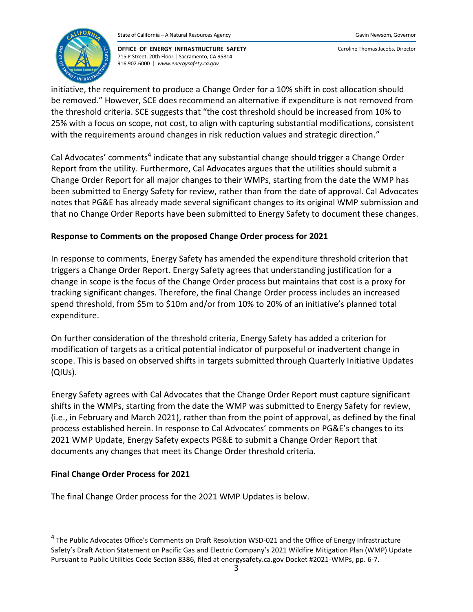

Caroline Thomas Jacobs, Director

initiative, the requirement to produce a Change Order for a 10% shift in cost allocation should be removed." However, SCE does recommend an alternative if expenditure is not removed from the threshold criteria. SCE suggests that "the cost threshold should be increased from 10% to 25% with a focus on scope, not cost, to align with capturing substantial modifications, consistent with the requirements around changes in risk reduction values and strategic direction."

Cal Advocates' comments<sup>4</sup> indicate that any substantial change should trigger a Change Order Report from the utility. Furthermore, Cal Advocates argues that the utilities should submit a Change Order Report for all major changes to their WMPs, starting from the date the WMP has been submitted to Energy Safety for review, rather than from the date of approval. Cal Advocates notes that PG&E has already made several significant changes to its original WMP submission and that no Change Order Reports have been submitted to Energy Safety to document these changes.

# **Response to Comments on the proposed Change Order process for 2021**

In response to comments, Energy Safety has amended the expenditure threshold criterion that triggers a Change Order Report. Energy Safety agrees that understanding justification for a change in scope is the focus of the Change Order process but maintains that cost is a proxy for tracking significant changes. Therefore, the final Change Order process includes an increased spend threshold, from \$5m to \$10m and/or from 10% to 20% of an initiative's planned total expenditure.

On further consideration of the threshold criteria, Energy Safety has added a criterion for modification of targets as a critical potential indicator of purposeful or inadvertent change in scope. This is based on observed shifts in targets submitted through Quarterly Initiative Updates (QIUs).

Energy Safety agrees with Cal Advocates that the Change Order Report must capture significant shifts in the WMPs, starting from the date the WMP was submitted to Energy Safety for review, (i.e., in February and March 2021), rather than from the point of approval, as defined by the final process established herein. In response to Cal Advocates' comments on PG&E's changes to its 2021 WMP Update, Energy Safety expects PG&E to submit a Change Order Report that documents any changes that meet its Change Order threshold criteria.

## **Final Change Order Process for 2021**

The final Change Order process for the 2021 WMP Updates is below.

<sup>&</sup>lt;sup>4</sup> The Public Advocates Office's Comments on Draft Resolution WSD-021 and the Office of Energy Infrastructure Safety's Draft Action Statement on Pacific Gas and Electric Company's 2021 Wildfire Mitigation Plan (WMP) Update Pursuant to Public Utilities Code Section 8386, filed at energysafety.ca.gov Docket #2021-WMPs, pp. 6-7.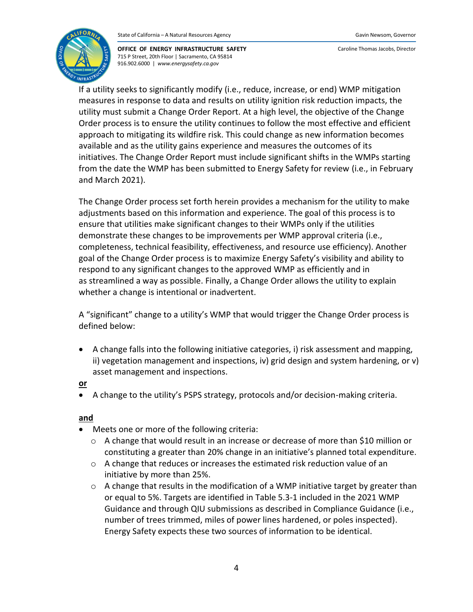

Caroline Thomas Jacobs, Director

If a utility seeks to significantly modify (i.e., reduce, increase, or end) WMP mitigation measures in response to data and results on utility ignition risk reduction impacts, the utility must submit a Change Order Report. At a high level, the objective of the Change Order process is to ensure the utility continues to follow the most effective and efficient approach to mitigating its wildfire risk. This could change as new information becomes available and as the utility gains experience and measures the outcomes of its initiatives. The Change Order Report must include significant shifts in the WMPs starting from the date the WMP has been submitted to Energy Safety for review (i.e., in February and March 2021).

The Change Order process set forth herein provides a mechanism for the utility to make adjustments based on this information and experience. The goal of this process is to ensure that utilities make significant changes to their WMPs only if the utilities demonstrate these changes to be improvements per WMP approval criteria (i.e., completeness, technical feasibility, effectiveness, and resource use efficiency). Another goal of the Change Order process is to maximize Energy Safety's visibility and ability to respond to any significant changes to the approved WMP as efficiently and in as streamlined a way as possible. Finally, a Change Order allows the utility to explain whether a change is intentional or inadvertent.

A "significant" change to a utility's WMP that would trigger the Change Order process is defined below:

• A change falls into the following initiative categories, i) risk assessment and mapping, ii) vegetation management and inspections, iv) grid design and system hardening, or v) asset management and inspections.

### **or**

• A change to the utility's PSPS strategy, protocols and/or decision-making criteria.

## **and**

- Meets one or more of the following criteria:
	- o A change that would result in an increase or decrease of more than \$10 million or constituting a greater than 20% change in an initiative's planned total expenditure.
	- $\circ$  A change that reduces or increases the estimated risk reduction value of an initiative by more than 25%.
	- $\circ$  A change that results in the modification of a WMP initiative target by greater than or equal to 5%. Targets are identified in Table 5.3-1 included in the 2021 WMP Guidance and through QIU submissions as described in Compliance Guidance (i.e., number of trees trimmed, miles of power lines hardened, or poles inspected). Energy Safety expects these two sources of information to be identical.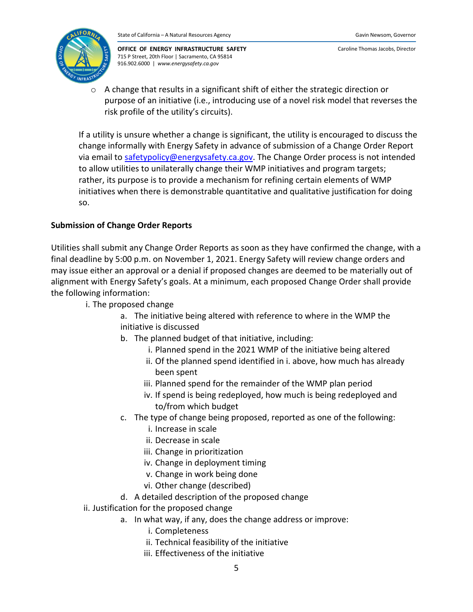

o A change that results in a significant shift of either the strategic direction or purpose of an initiative (i.e., introducing use of a novel risk model that reverses the risk profile of the utility's circuits).

If a utility is unsure whether a change is significant, the utility is encouraged to discuss the change informally with Energy Safety in advance of submission of a Change Order Report via email to [safetypolicy@energysafety.ca.gov.](mailto:safetypolicy@energysafety.ca.gov) The Change Order process is not intended to allow utilities to unilaterally change their WMP initiatives and program targets; rather, its purpose is to provide a mechanism for refining certain elements of WMP initiatives when there is demonstrable quantitative and qualitative justification for doing so.

# **Submission of Change Order Reports**

Utilities shall submit any Change Order Reports as soon as they have confirmed the change, with a final deadline by 5:00 p.m. on November 1, 2021. Energy Safety will review change orders and may issue either an approval or a denial if proposed changes are deemed to be materially out of alignment with Energy Safety's goals. At a minimum, each proposed Change Order shall provide the following information:

- i. The proposed change
	- a. The initiative being altered with reference to where in the WMP the initiative is discussed
	- b. The planned budget of that initiative, including:
		- i. Planned spend in the 2021 WMP of the initiative being altered
		- ii. Of the planned spend identified in i. above, how much has already been spent
		- iii. Planned spend for the remainder of the WMP plan period
		- iv. If spend is being redeployed, how much is being redeployed and to/from which budget
	- c. The type of change being proposed, reported as one of the following:
		- i. Increase in scale
		- ii. Decrease in scale
		- iii. Change in prioritization
		- iv. Change in deployment timing
		- v. Change in work being done
		- vi. Other change (described)
	- d. A detailed description of the proposed change
- ii. Justification for the proposed change
	- a. In what way, if any, does the change address or improve:
		- i. Completeness
		- ii. Technical feasibility of the initiative
		- iii. Effectiveness of the initiative